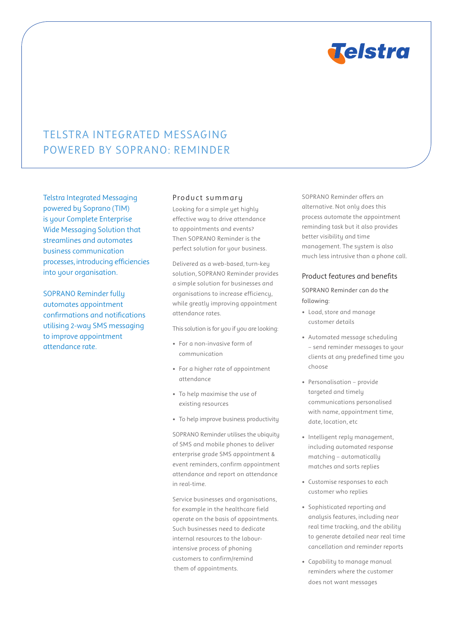

# TELSTRA INTEGRATED MESSAGING POWERED BY SOPRANO: REMINDER

Telstra Integrated Messaging powered by Soprano (TIM) is your Complete Enterprise Wide Messaging Solution that streamlines and automates business communication processes, introducing efficiencies into your organisation.

SOPRANO Reminder fully automates appointment confirmations and notifications utilising 2-way SMS messaging to improve appointment attendance rate.

### Product summary

Looking for a simple yet highly effective way to drive attendance to appointments and events? Then SOPRANO Reminder is the perfect solution for your business.

Delivered as a web-based, turn-key solution, SOPRANO Reminder provides a simple solution for businesses and organisations to increase efficiency, while greatly improving appointment attendance rates.

This solution is for you if you are looking:

- • For a non-invasive form of communication
- For a higher rate of appointment attendance
- • To help maximise the use of existing resources
- • To help improve business productivity

SOPRANO Reminder utilises the ubiquity of SMS and mobile phones to deliver enterprise grade SMS appointment & event reminders, confirm appointment attendance and report on attendance in real-time.

Service businesses and organisations, for example in the healthcare field operate on the basis of appointments. Such businesses need to dedicate internal resources to the labourintensive process of phoning customers to confirm/remind them of appointments.

SOPRANO Reminder offers an alternative. Not only does this process automate the appointment reminding task but it also provides better visibility and time management. The system is also much less intrusive than a phone call.

#### Product features and benefits

SOPRANO Reminder can do the following:

- • Load,store and manage customer details
- • Automated message scheduling – send reminder messages to your clients at any predefined time you choose
- • Personalisation provide targeted and timely communications personalised with name, appointment time, date, location, etc
- • Intelligent reply management, including automated response matching – automatically matches and sorts replies
- • Customise responses to each customer who replies
- • Sophisticated reporting and analysis features, including near real time tracking, and the ability to generate detailed near real time cancellation and reminder reports
- • Capability to manage manual reminders where the customer does not want messages